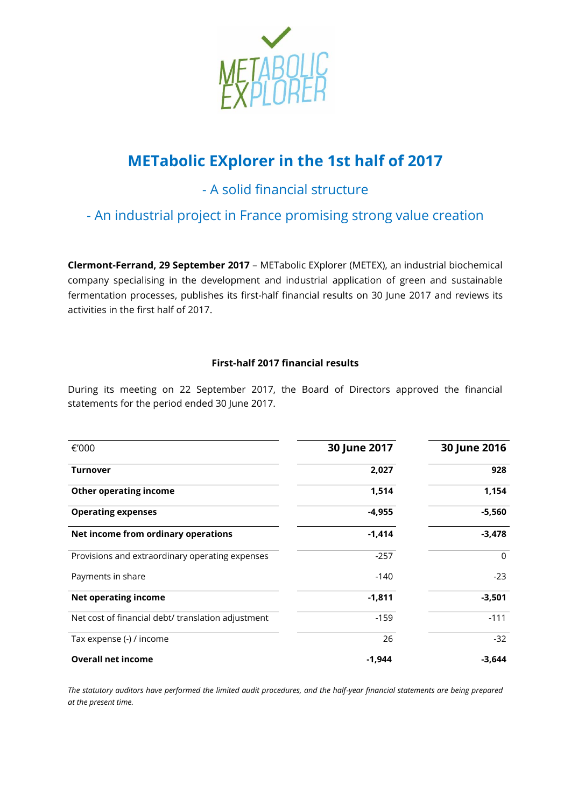

# **METabolic EXplorer in the 1st half of 2017**

# - A solid financial structure

- An industrial project in France promising strong value creation

**Clermont-Ferrand, 29 September 2017** – METabolic EXplorer (METEX), an industrial biochemical company specialising in the development and industrial application of green and sustainable fermentation processes, publishes its first-half financial results on 30 June 2017 and reviews its activities in the first half of 2017.

## **First-half 2017 financial results**

During its meeting on 22 September 2017, the Board of Directors approved the financial statements for the period ended 30 June 2017.

| €'000                                              | 30 June 2017 | 30 June 2016 |
|----------------------------------------------------|--------------|--------------|
| <b>Turnover</b>                                    | 2,027        | 928          |
| <b>Other operating income</b>                      | 1,514        | 1,154        |
| <b>Operating expenses</b>                          | $-4,955$     | $-5,560$     |
| Net income from ordinary operations                | $-1,414$     | $-3,478$     |
| Provisions and extraordinary operating expenses    | $-257$       | $\Omega$     |
| Payments in share                                  | $-140$       | $-23$        |
| <b>Net operating income</b>                        | $-1,811$     | $-3,501$     |
| Net cost of financial debt/ translation adjustment | $-159$       | $-111$       |
| Tax expense (-) / income                           | 26           | $-32$        |
| <b>Overall net income</b>                          | $-1,944$     | -3,644       |

*The statutory auditors have performed the limited audit procedures, and the half-year financial statements are being prepared at the present time.*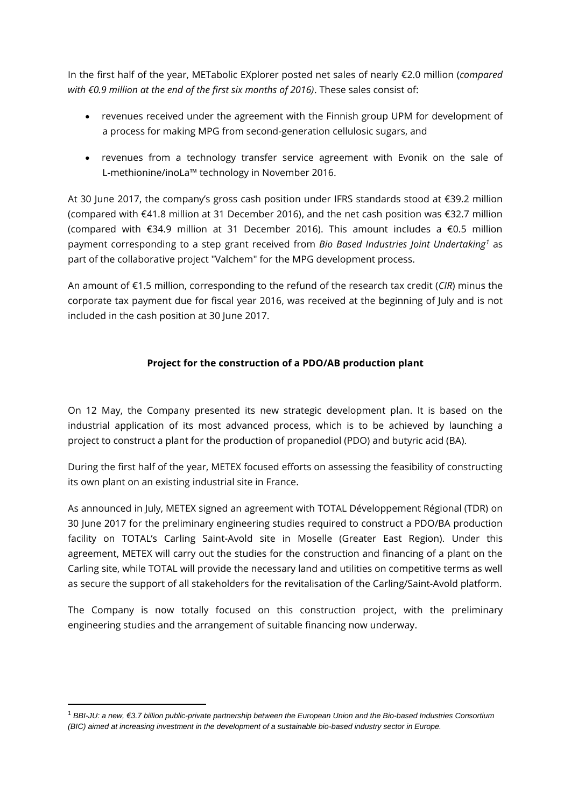In the first half of the year, METabolic EXplorer posted net sales of nearly €2.0 million (*compared with €0.9 million at the end of the first six months of 2016)*. These sales consist of:

- revenues received under the agreement with the Finnish group UPM for development of a process for making MPG from second-generation cellulosic sugars, and
- revenues from a technology transfer service agreement with Evonik on the sale of L-methionine/inoLa™ technology in November 2016.

At 30 June 2017, the company's gross cash position under IFRS standards stood at €39.2 million (compared with €41.8 million at 31 December 2016), and the net cash position was €32.7 million (compared with €34.9 million at 31 December 2016). This amount includes a €0.5 million payment corresponding to a step grant received from *Bio Based Industries Joint Undertaking<sup>1</sup>* as part of the collaborative project "Valchem" for the MPG development process.

An amount of €1.5 million, corresponding to the refund of the research tax credit (*CIR*) minus the corporate tax payment due for fiscal year 2016, was received at the beginning of July and is not included in the cash position at 30 June 2017.

### **Project for the construction of a PDO/AB production plant**

On 12 May, the Company presented its new strategic development plan. It is based on the industrial application of its most advanced process, which is to be achieved by launching a project to construct a plant for the production of propanediol (PDO) and butyric acid (BA).

During the first half of the year, METEX focused efforts on assessing the feasibility of constructing its own plant on an existing industrial site in France.

As announced in July, METEX signed an agreement with TOTAL Développement Régional (TDR) on 30 June 2017 for the preliminary engineering studies required to construct a PDO/BA production facility on TOTAL's Carling Saint-Avold site in Moselle (Greater East Region). Under this agreement, METEX will carry out the studies for the construction and financing of a plant on the Carling site, while TOTAL will provide the necessary land and utilities on competitive terms as well as secure the support of all stakeholders for the revitalisation of the Carling/Saint-Avold platform.

The Company is now totally focused on this construction project, with the preliminary engineering studies and the arrangement of suitable financing now underway.

**.** 

<sup>1</sup> *BBI-JU: a new, €3.7 billion public-private partnership between the European Union and the Bio-based Industries Consortium (BIC) aimed at increasing investment in the development of a sustainable bio-based industry sector in Europe.*